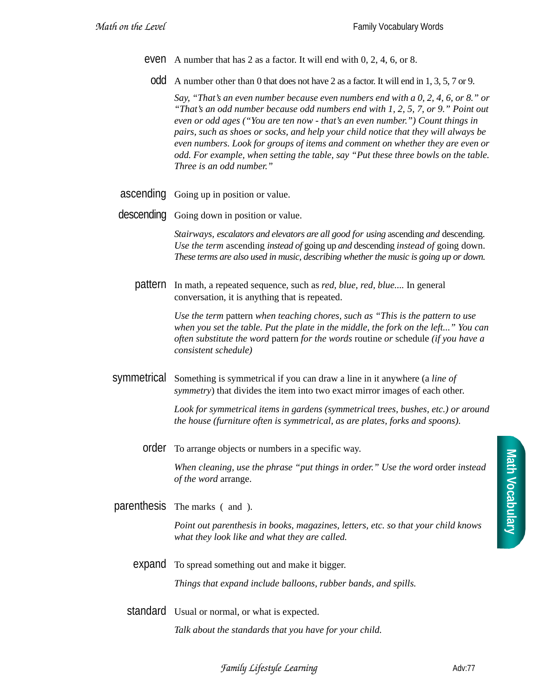- even A number that has 2 as a factor. It will end with 0, 2, 4, 6, or 8.
	- odd A number other than 0 that does not have 2 as a factor. It will end in 1, 3, 5, 7 or 9.

*Say, "That's an even number because even numbers end with a 0, 2, 4, 6, or 8." or "That's an odd number because odd numbers end with 1, 2, 5, 7, or 9." Point out even or odd ages ("You are ten now - that's an even number.") Count things in pairs, such as shoes or socks, and help your child notice that they will always be even numbers. Look for groups of items and comment on whether they are even or odd. For example, when setting the table, say "Put these three bowls on the table. Three is an odd number."*

- ascending Going up in position or value.
- descending Going down in position or value.

*Stairways, escalators and elevators are all good for using* ascending *and* descending. *Use the term* ascending *instead of* going up *and* descending *instead of* going down. *These terms are also used in music, describing whether the music is going up or down.*

pattern In math, a repeated sequence, such as *red, blue, red, blue....* In general conversation, it is anything that is repeated.

> *Use the term* pattern *when teaching chores, such as "This is the pattern to use when you set the table. Put the plate in the middle, the fork on the left..." You can often substitute the word* pattern *for the words* routine *or* schedule *(if you have a consistent schedule)*

symmetrical Something is symmetrical if you can draw a line in it anywhere (a *line of symmetry*) that divides the item into two exact mirror images of each other.

> *Look for symmetrical items in gardens (symmetrical trees, bushes, etc.) or around the house (furniture often is symmetrical, as are plates, forks and spoons).*

order To arrange objects or numbers in a specific way.

*When cleaning, use the phrase "put things in order." Use the word* order *instead of the word* arrange.

parenthesis The marks ( and ).

*Point out parenthesis in books, magazines, letters, etc. so that your child knows what they look like and what they are called.*

- expand To spread something out and make it bigger. *Things that expand include balloons, rubber bands, and spills.*
- standard Usual or normal, or what is expected. *Talk about the standards that you have for your child.*

*Family Lifestyle Learning* **Adv:77** Adv:77